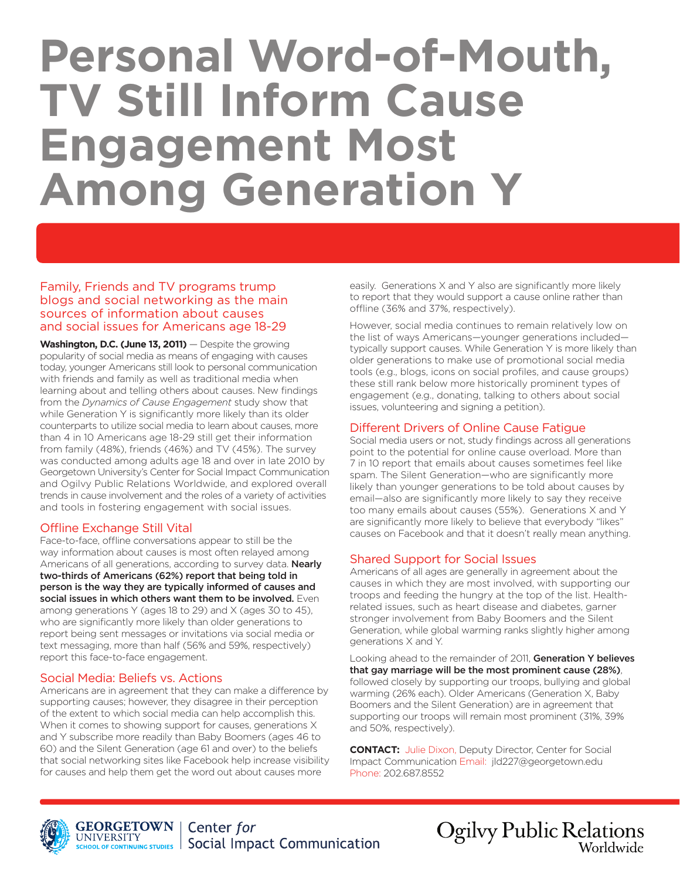# **Personal Word-of-Mouth, TV Still Inform Cause Engagement Most Among Generation Y**

Family, Friends and TV programs trump blogs and social networking as the main sources of information about causes and social issues for Americans age 18-29

Washington, D.C. (June 13, 2011) – Despite the growing popularity of social media as means of engaging with causes today, younger Americans still look to personal communication with friends and family as well as traditional media when learning about and telling others about causes. New findings from the *Dynamics of Cause Engagement* study show that while Generation Y is significantly more likely than its older counterparts to utilize social media to learn about causes, more than 4 in 10 Americans age 18-29 still get their information from family (48%), friends (46%) and TV (45%). The survey was conducted among adults age 18 and over in late 2010 by Georgetown University's Center for Social Impact Communication and Ogilvy Public Relations Worldwide, and explored overall trends in cause involvement and the roles of a variety of activities and tools in fostering engagement with social issues.

#### Offline Exchange Still Vital

Face-to-face, offline conversations appear to still be the way information about causes is most often relayed among Americans of all generations, according to survey data. Nearly two-thirds of Americans (62%) report that being told in person is the way they are typically informed of causes and social issues in which others want them to be involved. Even among generations Y (ages 18 to 29) and X (ages 30 to 45), who are significantly more likely than older generations to report being sent messages or invitations via social media or text messaging, more than half (56% and 59%, respectively) report this face-to-face engagement.

#### Social Media: Beliefs vs. Actions

Americans are in agreement that they can make a difference by supporting causes; however, they disagree in their perception of the extent to which social media can help accomplish this. When it comes to showing support for causes, generations X and Y subscribe more readily than Baby Boomers (ages 46 to 60) and the Silent Generation (age 61 and over) to the beliefs that social networking sites like Facebook help increase visibility for causes and help them get the word out about causes more

easily. Generations X and Y also are significantly more likely to report that they would support a cause online rather than offline (36% and 37%, respectively).

However, social media continues to remain relatively low on the list of ways Americans—younger generations included typically support causes. While Generation Y is more likely than older generations to make use of promotional social media tools (e.g., blogs, icons on social profiles, and cause groups) these still rank below more historically prominent types of engagement (e.g., donating, talking to others about social issues, volunteering and signing a petition).

#### Different Drivers of Online Cause Fatigue

Social media users or not, study findings across all generations point to the potential for online cause overload. More than 7 in 10 report that emails about causes sometimes feel like spam. The Silent Generation—who are significantly more likely than younger generations to be told about causes by email—also are significantly more likely to say they receive too many emails about causes (55%). Generations X and Y are significantly more likely to believe that everybody "likes" causes on Facebook and that it doesn't really mean anything.

#### Shared Support for Social Issues

Americans of all ages are generally in agreement about the causes in which they are most involved, with supporting our troops and feeding the hungry at the top of the list. Healthrelated issues, such as heart disease and diabetes, garner stronger involvement from Baby Boomers and the Silent Generation, while global warming ranks slightly higher among generations X and Y.

Looking ahead to the remainder of 2011, Generation Y believes that gay marriage will be the most prominent cause (28%), followed closely by supporting our troops, bullying and global warming (26% each). Older Americans (Generation X, Baby Boomers and the Silent Generation) are in agreement that supporting our troops will remain most prominent (31%, 39% and 50%, respectively).

**CONTACT:** Julie Dixon, Deputy Director, Center for Social Impact Communication Email: jld227@georgetown.edu Phone: 202.687.8552

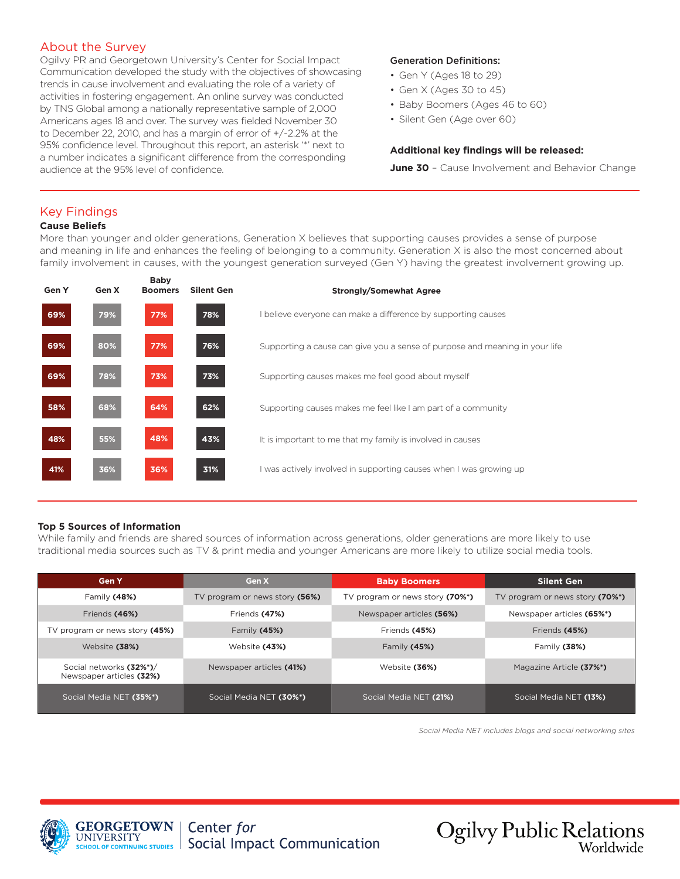#### About the Survey

Ogilvy PR and Georgetown University's Center for Social Impact Communication developed the study with the objectives of showcasing trends in cause involvement and evaluating the role of a variety of activities in fostering engagement. An online survey was conducted by TNS Global among a nationally representative sample of 2,000 Americans ages 18 and over. The survey was fielded November 30 to December 22, 2010, and has a margin of error of +/-2.2% at the 95% confidence level. Throughout this report, an asterisk '\*' next to a number indicates a significant difference from the corresponding audience at the 95% level of confidence.

#### Generation Definitions:

- Gen Y (Ages 18 to 29)
- Gen X (Ages 30 to 45)
- Baby Boomers (Ages 46 to 60)
- Silent Gen (Age over 60)

#### **Additional key findings will be released:**

**June 30** - Cause Involvement and Behavior Change

#### Key Findings

#### **Cause Beliefs**

More than younger and older generations, Generation X believes that supporting causes provides a sense of purpose and meaning in life and enhances the feeling of belonging to a community. Generation X is also the most concerned about family involvement in causes, with the youngest generation surveyed (Gen Y) having the greatest involvement growing up.

| Gen Y | Gen X | <b>Baby</b><br><b>Boomers</b> | <b>Silent Gen</b> | <b>Strongly/Somewhat Agree</b>                                              |
|-------|-------|-------------------------------|-------------------|-----------------------------------------------------------------------------|
| 69%   | 79%   | 77%                           | 78%               | I believe everyone can make a difference by supporting causes               |
| 69%   | 80%   | 77%                           | 76%               | Supporting a cause can give you a sense of purpose and meaning in your life |
| 69%   | 78%   | 73%                           | 73%               | Supporting causes makes me feel good about myself                           |
| 58%   | 68%   | 64%                           | 62%               | Supporting causes makes me feel like I am part of a community               |
| 48%   | 55%   | 48%                           | 43%               | It is important to me that my family is involved in causes                  |
| 41%   | 36%   | 36%                           | 31%               | I was actively involved in supporting causes when I was growing up          |

#### **Top 5 Sources of Information**

While family and friends are shared sources of information across generations, older generations are more likely to use traditional media sources such as TV & print media and younger Americans are more likely to utilize social media tools.

| <b>Gen Y</b>                                        | Gen X                          | <b>Baby Boomers</b>             | <b>Silent Gen</b>               |  |
|-----------------------------------------------------|--------------------------------|---------------------------------|---------------------------------|--|
| Family $(48%)$                                      | TV program or news story (56%) | TV program or news story (70%*) | TV program or news story (70%*) |  |
| Friends (46%)                                       | Friends (47%)                  | Newspaper articles (56%)        | Newspaper articles (65%*)       |  |
| TV program or news story (45%)                      | Family $(45%)$                 | Friends (45%)                   | Friends (45%)                   |  |
| Website (38%)                                       | Website (43%)                  | Family $(45%)$                  | Family $(38%)$                  |  |
| Social networks (32%*)/<br>Newspaper articles (32%) | Newspaper articles (41%)       | Website (36%)                   | Magazine Article (37%*)         |  |
| Social Media NET (35%*)                             | Social Media NET (30%*)        | Social Media NET (21%)          | Social Media NET (13%)          |  |

*Social Media NET includes blogs and social networking sites*

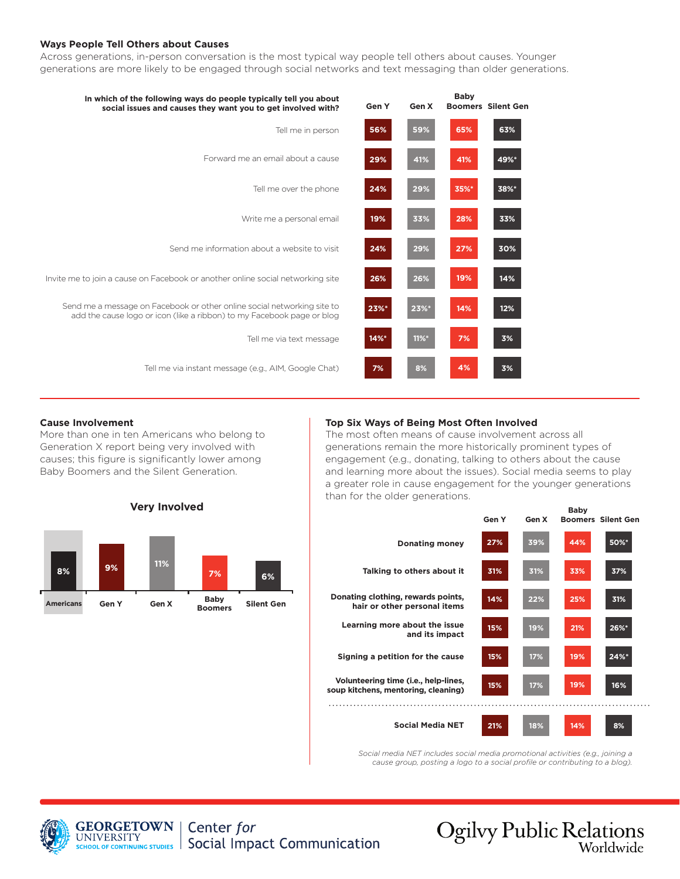#### **Ways People Tell Others about Causes**

Across generations, in-person conversation is the most typical way people tell others about causes. Younger generations are more likely to be engaged through social networks and text messaging than older generations.

| In which of the following ways do people typically tell you about<br>social issues and causes they want you to get involved with?                 | Gen Y | Gen X    | <b>Baby</b> | <b>Boomers Silent Gen</b> |
|---------------------------------------------------------------------------------------------------------------------------------------------------|-------|----------|-------------|---------------------------|
| Tell me in person                                                                                                                                 | 56%   | 59%      | 65%         | 63%                       |
| Forward me an email about a cause                                                                                                                 | 29%   | 41%      | 41%         | 49%*                      |
| Tell me over the phone                                                                                                                            | 24%   | 29%      | 35%*        | 38%*                      |
| Write me a personal email                                                                                                                         | 19%   | 33%      | 28%         | 33%                       |
| Send me information about a website to visit                                                                                                      | 24%   | 29%      | 27%         | 30%                       |
| Invite me to join a cause on Facebook or another online social networking site                                                                    | 26%   | 26%      | 19%         | 14%                       |
| Send me a message on Facebook or other online social networking site to<br>add the cause logo or icon (like a ribbon) to my Facebook page or blog | 23%   | 23%*     | 14%         | 12%                       |
| Tell me via text message                                                                                                                          | 14%   | $11\%$ * | 7%          | 3%                        |
| Tell me via instant message (e.g., AIM, Google Chat)                                                                                              | 7%    | 8%       | 4%          | 3%                        |

#### **Cause Involvement**

More than one in ten Americans who belong to Generation X report being very involved with causes; this figure is significantly lower among Baby Boomers and the Silent Generation.

**Very Involved**



The most often means of cause involvement across all generations remain the more historically prominent types of engagement (e.g., donating, talking to others about the cause and learning more about the issues). Social media seems to play a greater role in cause engagement for the younger generations than for the older generations.



*Social media NET includes social media promotional activities (e.g., joining a cause group, posting a logo to a social profile or contributing to a blog).*



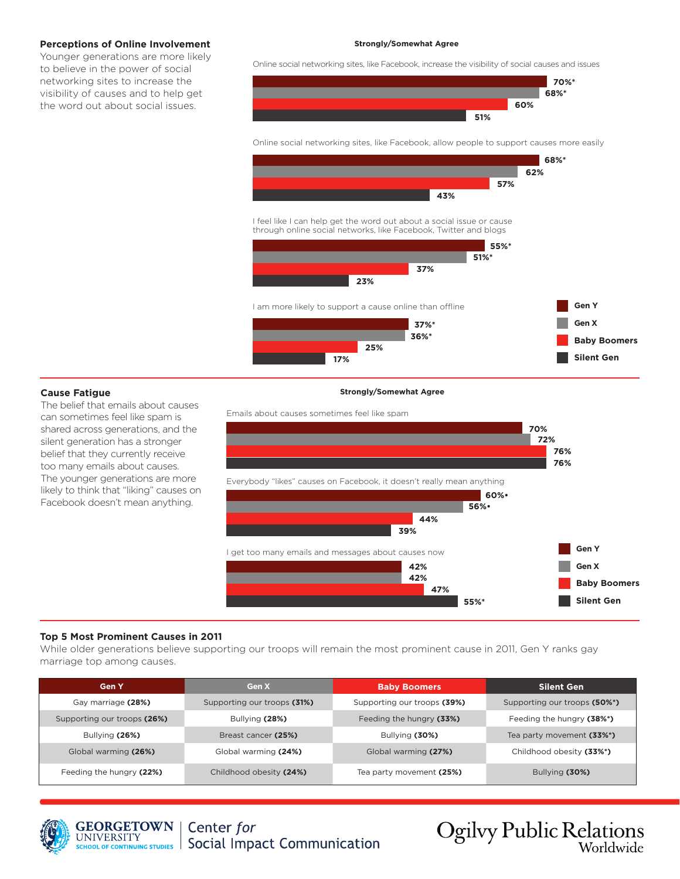#### **Perceptions of Online Involvement**

Younger generations are more likely to believe in the power of social networking sites to increase the visibility of causes and to help get the word out about social issues.

#### **Strongly/Somewhat Agree**

Online social networking sites, like Facebook, increase the visibility of social causes and issues



Online social networking sites, like Facebook, allow people to support causes more easily



I feel like I can help get the word out about a social issue or cause through online social networks, like Facebook, Twitter and blogs



I am more likely to support a cause online than offline



**Gen Y**

#### **Cause Fatigue**

The belief that emails about causes can sometimes feel like spam is shared across generations, and the silent generation has a stronger belief that they currently receive too many emails about causes. The younger generations are more likely to think that "liking" causes on Facebook doesn't mean anything.

#### **Strongly/Somewhat Agree**



#### **Top 5 Most Prominent Causes in 2011**

While older generations believe supporting our troops will remain the most prominent cause in 2011, Gen Y ranks gay marriage top among causes.

| <b>Gen Y</b>                | Gen X                       | <b>Baby Boomers</b>         | <b>Silent Gen</b>            |  |
|-----------------------------|-----------------------------|-----------------------------|------------------------------|--|
| Gay marriage (28%)          | Supporting our troops (31%) | Supporting our troops (39%) | Supporting our troops (50%*) |  |
| Supporting our troops (26%) | Bullying (28%)              | Feeding the hungry (33%)    | Feeding the hungry (38%*)    |  |
| Bullying $(26%)$            | Breast cancer (25%)         | Bullying (30%)              | Tea party movement (33%*)    |  |
| Global warming (26%)        | Global warming (24%)        | Global warming (27%)        | Childhood obesity (33%*)     |  |
| Feeding the hungry (22%)    | Childhood obesity (24%)     | Tea party movement (25%)    | Bullying $(30\%)$            |  |